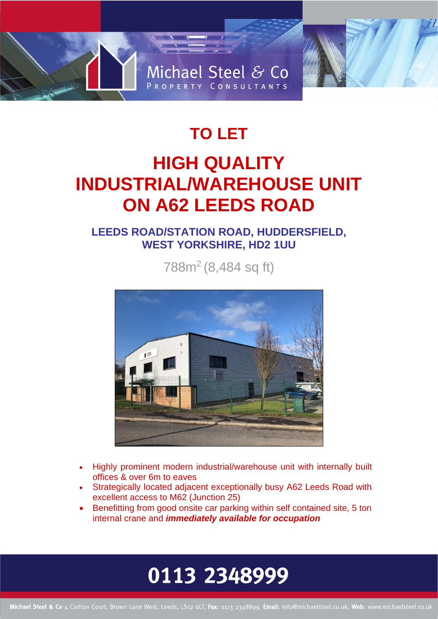# Michael Steel & Co PROPERTY CONSULTANTS

### **TO LET HIGH QUALITY INDUSTRIAL/WAREHOUSE UNIT ON A62 LEEDS ROAD**

### **LEEDS ROAD/STATION ROAD, HUDDERSFIELD, WEST YORKSHIRE, HD2 1UU**

788m<sup>2</sup> (8,484 sq ft)



- Highly prominent modern industrial/warehouse unit with internally built offices & over 6m to eaves
- Strategically located adjacent exceptionally busy A62 Leeds Road with excellent access to M62 (Junction 25)
- Benefitting from good onsite car parking within self contained site, 5 ton internal crane and *immediately available for occupation*

## 0113 2348999